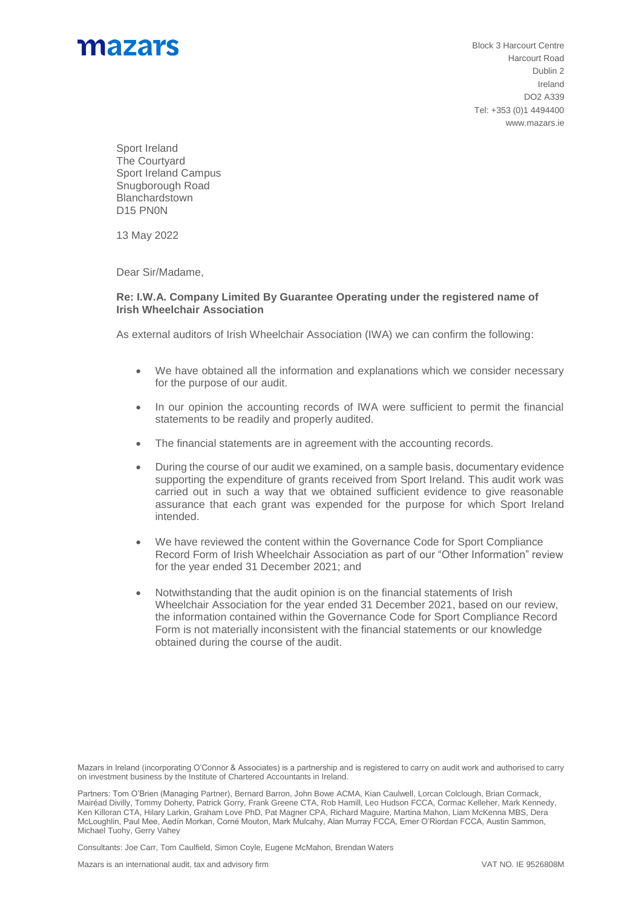

Block 3 Harcourt Centre Harcourt Road Dublin 2 Ireland DO2 A339 Tel: +353 (0)1 4494400 www.mazars.ie

Sport Ireland The Courtyard Sport Ireland Campus Snugborough Road Blanchardstown D15 PN0N

13 May 2022

Dear Sir/Madame,

## **Re: I.W.A. Company Limited By Guarantee Operating under the registered name of Irish Wheelchair Association**

As external auditors of Irish Wheelchair Association (IWA) we can confirm the following:

- We have obtained all the information and explanations which we consider necessary for the purpose of our audit.
- In our opinion the accounting records of IWA were sufficient to permit the financial statements to be readily and properly audited.
- The financial statements are in agreement with the accounting records.
- During the course of our audit we examined, on a sample basis, documentary evidence supporting the expenditure of grants received from Sport Ireland. This audit work was carried out in such a way that we obtained sufficient evidence to give reasonable assurance that each grant was expended for the purpose for which Sport Ireland intended.
- We have reviewed the content within the Governance Code for Sport Compliance Record Form of Irish Wheelchair Association as part of our "Other Information" review for the year ended 31 December 2021; and
- Notwithstanding that the audit opinion is on the financial statements of Irish Wheelchair Association for the year ended 31 December 2021, based on our review, the information contained within the Governance Code for Sport Compliance Record Form is not materially inconsistent with the financial statements or our knowledge obtained during the course of the audit.

Consultants: Joe Carr, Tom Caulfield, Simon Coyle, Eugene McMahon, Brendan Waters

Mazars in Ireland (incorporating O'Connor & Associates) is a partnership and is registered to carry on audit work and authorised to carry on investment business by the Institute of Chartered Accountants in Ireland.

Partners: Tom O'Brien (Managing Partner), Bernard Barron, John Bowe ACMA, Kian Caulwell, Lorcan Colclough, Brian Cormack, Mairéad Divilly, Tommy Doherty, Patrick Gorry, Frank Greene CTA, Rob Hamill, Leo Hudson FCCA, Cormac Kelleher, Mark Kennedy, Ken Killoran CTA, Hilary Larkin, Graham Love PhD, Pat Magner CPA, Richard Maguire, Martina Mahon, Liam McKenna MBS, Dera McLoughlin, Paul Mee, Aedín Morkan, Corné Mouton, Mark Mulcahy, Alan Murray FCCA, Emer O'Riordan FCCA, Austin Sammon, Michael Tuohy, Gerry Vahey